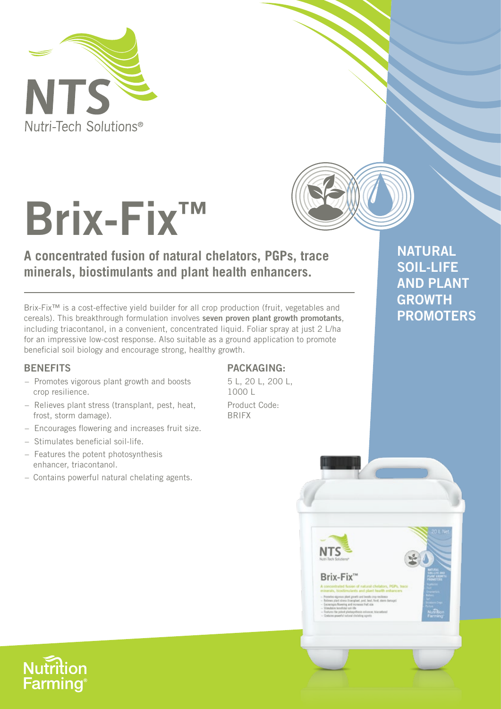



# **Brix-Fix™**

## **A concentrated fusion of natural chelators, PGPs, trace minerals, biostimulants and plant health enhancers.**

Brix-Fix™ is a cost-effective yield builder for all crop production (fruit, vegetables and cereals). This breakthrough formulation involves **seven proven plant growth promotants**, including triacontanol, in a convenient, concentrated liquid. Foliar spray at just 2 L/ha for an impressive low-cost response. Also suitable as a ground application to promote beneficial soil biology and encourage strong, healthy growth.

#### **BENEFITS**

- Promotes vigorous plant growth and boosts crop resilience.
- Relieves plant stress (transplant, pest, heat, frost, storm damage).
- Encourages flowering and increases fruit size.
- Stimulates beneficial soil-life.
- Features the potent photosynthesis enhancer, triacontanol.
- Contains powerful natural chelating agents.

#### **PACKAGING:**

5 L, 20 L, 200 L, 1000 L Product Code: BRIFX

### **NATURAL SOIL-LIFE AND PLANT GROWTH PROMOTERS**



#### Brix-Fix<sup>®</sup>